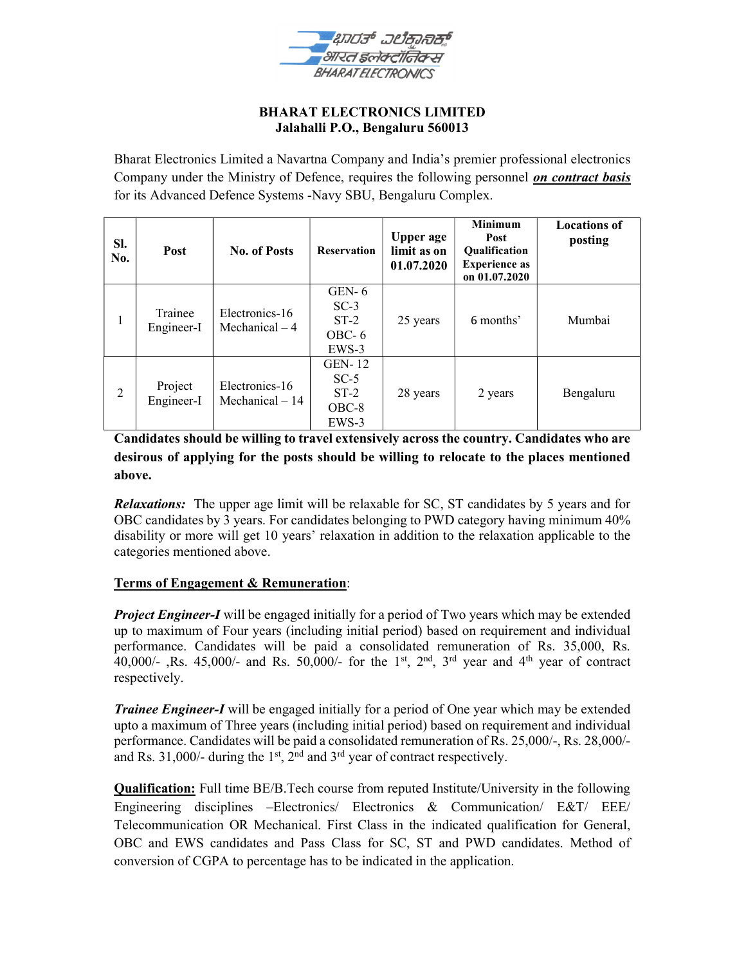

#### BHARAT ELECTRONICS LIMITED Jalahalli P.O., Bengaluru 560013

Bharat Electronics Limited a Navartna Company and India's premier professional electronics Company under the Ministry of Defence, requires the following personnel *on contract basis* for its Advanced Defence Systems -Navy SBU, Bengaluru Complex.

| Sl.<br>No.     | <b>Post</b>           | <b>No. of Posts</b>                | <b>Reservation</b>                                    | <b>Upper</b> age<br>limit as on<br>01.07.2020 | <b>Minimum</b><br>Post<br><b>Oualification</b><br><b>Experience as</b><br>on 01.07.2020 | <b>Locations of</b><br>posting |
|----------------|-----------------------|------------------------------------|-------------------------------------------------------|-----------------------------------------------|-----------------------------------------------------------------------------------------|--------------------------------|
| 1              | Trainee<br>Engineer-I | Electronics-16<br>Mechanical $-4$  | GEN- $6$<br>$SC-3$<br>$ST-2$<br>$OBC-6$<br>EWS-3      | 25 years                                      | 6 months'                                                                               | Mumbai                         |
| $\overline{2}$ | Project<br>Engineer-I | Electronics-16<br>Mechanical $-14$ | <b>GEN-12</b><br>$SC-5$<br>$ST-2$<br>$OBC-8$<br>EWS-3 | 28 years                                      | 2 years                                                                                 | Bengaluru                      |

Candidates should be willing to travel extensively across the country. Candidates who are desirous of applying for the posts should be willing to relocate to the places mentioned above.

**Relaxations:** The upper age limit will be relaxable for SC, ST candidates by 5 years and for OBC candidates by 3 years. For candidates belonging to PWD category having minimum 40% disability or more will get 10 years' relaxation in addition to the relaxation applicable to the categories mentioned above.

# Terms of Engagement & Remuneration:

Project Engineer-I will be engaged initially for a period of Two years which may be extended up to maximum of Four years (including initial period) based on requirement and individual performance. Candidates will be paid a consolidated remuneration of Rs. 35,000, Rs. 40,000/-, Rs. 45,000/- and Rs. 50,000/- for the 1<sup>st</sup>, 2<sup>nd</sup>, 3<sup>rd</sup> year and 4<sup>th</sup> year of contract respectively.

**Trainee Engineer-I** will be engaged initially for a period of One year which may be extended upto a maximum of Three years (including initial period) based on requirement and individual performance. Candidates will be paid a consolidated remuneration of Rs. 25,000/-, Rs. 28,000/ and Rs. 31,000/- during the 1<sup>st</sup>,  $2<sup>nd</sup>$  and  $3<sup>rd</sup>$  year of contract respectively.

**Qualification:** Full time BE/B.Tech course from reputed Institute/University in the following Engineering disciplines –Electronics/ Electronics & Communication/ E&T/ EEE/ Telecommunication OR Mechanical. First Class in the indicated qualification for General, OBC and EWS candidates and Pass Class for SC, ST and PWD candidates. Method of conversion of CGPA to percentage has to be indicated in the application.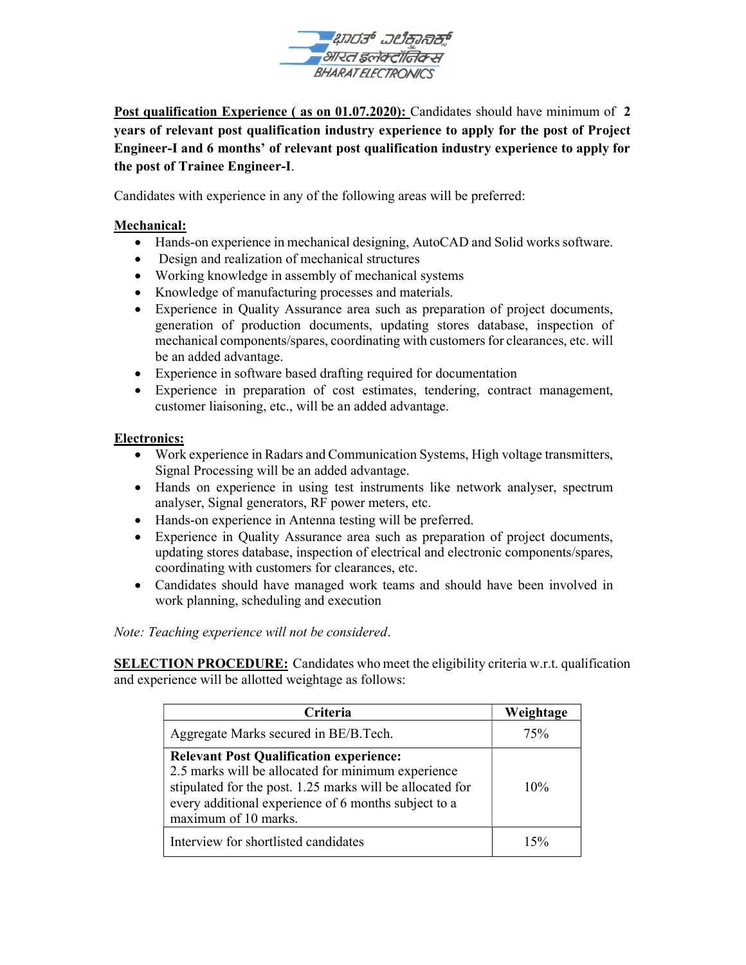

Post qualification Experience (as on 01.07.2020): Candidates should have minimum of 2 years of relevant post qualification industry experience to apply for the post of Project Engineer-I and 6 months' of relevant post qualification industry experience to apply for the post of Trainee Engineer-I.

Candidates with experience in any of the following areas will be preferred:

### Mechanical:

- Hands-on experience in mechanical designing, AutoCAD and Solid works software.
- Design and realization of mechanical structures
- Working knowledge in assembly of mechanical systems
- Knowledge of manufacturing processes and materials.
- Experience in Quality Assurance area such as preparation of project documents, generation of production documents, updating stores database, inspection of mechanical components/spares, coordinating with customers for clearances, etc. will be an added advantage.
- Experience in software based drafting required for documentation
- Experience in preparation of cost estimates, tendering, contract management, customer liaisoning, etc., will be an added advantage.

#### Electronics:

- Work experience in Radars and Communication Systems, High voltage transmitters, Signal Processing will be an added advantage.
- Hands on experience in using test instruments like network analyser, spectrum analyser, Signal generators, RF power meters, etc.
- Hands-on experience in Antenna testing will be preferred.
- Experience in Quality Assurance area such as preparation of project documents, updating stores database, inspection of electrical and electronic components/spares, coordinating with customers for clearances, etc.
- Candidates should have managed work teams and should have been involved in work planning, scheduling and execution

Note: Teaching experience will not be considered.

SELECTION PROCEDURE: Candidates who meet the eligibility criteria w.r.t. qualification and experience will be allotted weightage as follows:

| <b>Criteria</b>                                                                                                                                                                                                                                   | Weightage |
|---------------------------------------------------------------------------------------------------------------------------------------------------------------------------------------------------------------------------------------------------|-----------|
| Aggregate Marks secured in BE/B.Tech.                                                                                                                                                                                                             | 75%       |
| <b>Relevant Post Qualification experience:</b><br>2.5 marks will be allocated for minimum experience<br>stipulated for the post. 1.25 marks will be allocated for<br>every additional experience of 6 months subject to a<br>maximum of 10 marks. | 10%       |
| Interview for shortlisted candidates                                                                                                                                                                                                              | 15%       |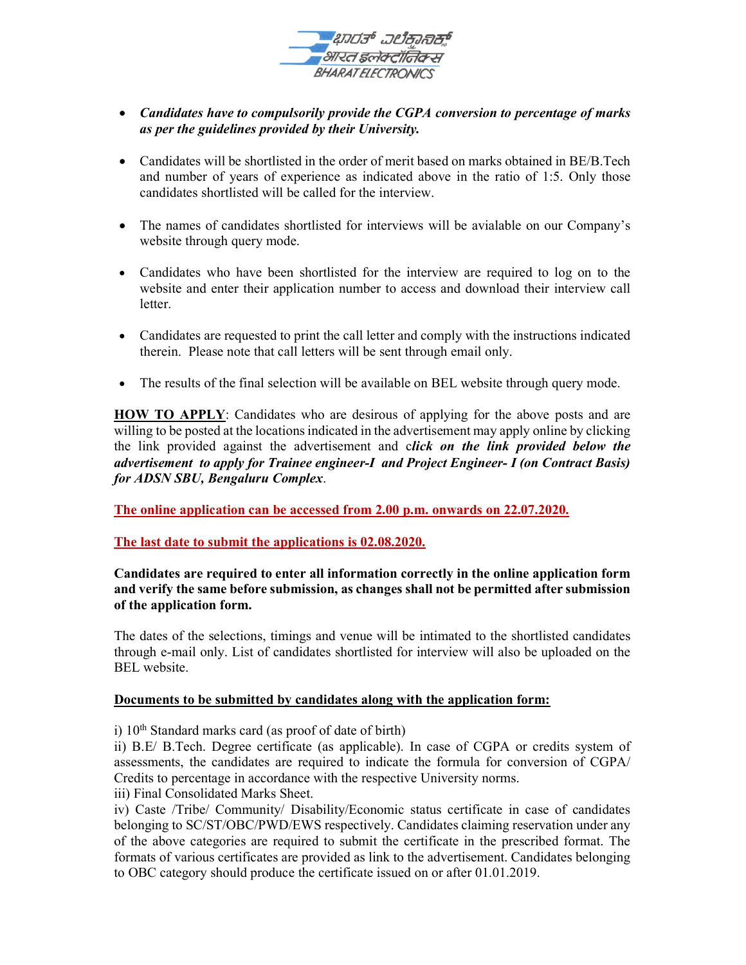

# • Candidates have to compulsorily provide the CGPA conversion to percentage of marks as per the guidelines provided by their University.

- Candidates will be shortlisted in the order of merit based on marks obtained in BE/B.Tech and number of years of experience as indicated above in the ratio of 1:5. Only those candidates shortlisted will be called for the interview.
- The names of candidates shortlisted for interviews will be avialable on our Company's website through query mode.
- Candidates who have been shortlisted for the interview are required to log on to the website and enter their application number to access and download their interview call letter.
- Candidates are requested to print the call letter and comply with the instructions indicated therein. Please note that call letters will be sent through email only.
- The results of the final selection will be available on BEL website through query mode.

HOW TO APPLY: Candidates who are desirous of applying for the above posts and are willing to be posted at the locations indicated in the advertisement may apply online by clicking the link provided against the advertisement and click on the link provided below the advertisement to apply for Trainee engineer-I and Project Engineer- I (on Contract Basis) for ADSN SBU, Bengaluru Complex.

The online application can be accessed from 2.00 p.m. onwards on 22.07.2020.

The last date to submit the applications is 02.08.2020.

### Candidates are required to enter all information correctly in the online application form and verify the same before submission, as changes shall not be permitted after submission of the application form.

The dates of the selections, timings and venue will be intimated to the shortlisted candidates through e-mail only. List of candidates shortlisted for interview will also be uploaded on the BEL website.

# Documents to be submitted by candidates along with the application form:

i)  $10<sup>th</sup>$  Standard marks card (as proof of date of birth)

ii) B.E/ B.Tech. Degree certificate (as applicable). In case of CGPA or credits system of assessments, the candidates are required to indicate the formula for conversion of CGPA/ Credits to percentage in accordance with the respective University norms.

iii) Final Consolidated Marks Sheet.

iv) Caste /Tribe/ Community/ Disability/Economic status certificate in case of candidates belonging to SC/ST/OBC/PWD/EWS respectively. Candidates claiming reservation under any of the above categories are required to submit the certificate in the prescribed format. The formats of various certificates are provided as link to the advertisement. Candidates belonging to OBC category should produce the certificate issued on or after 01.01.2019.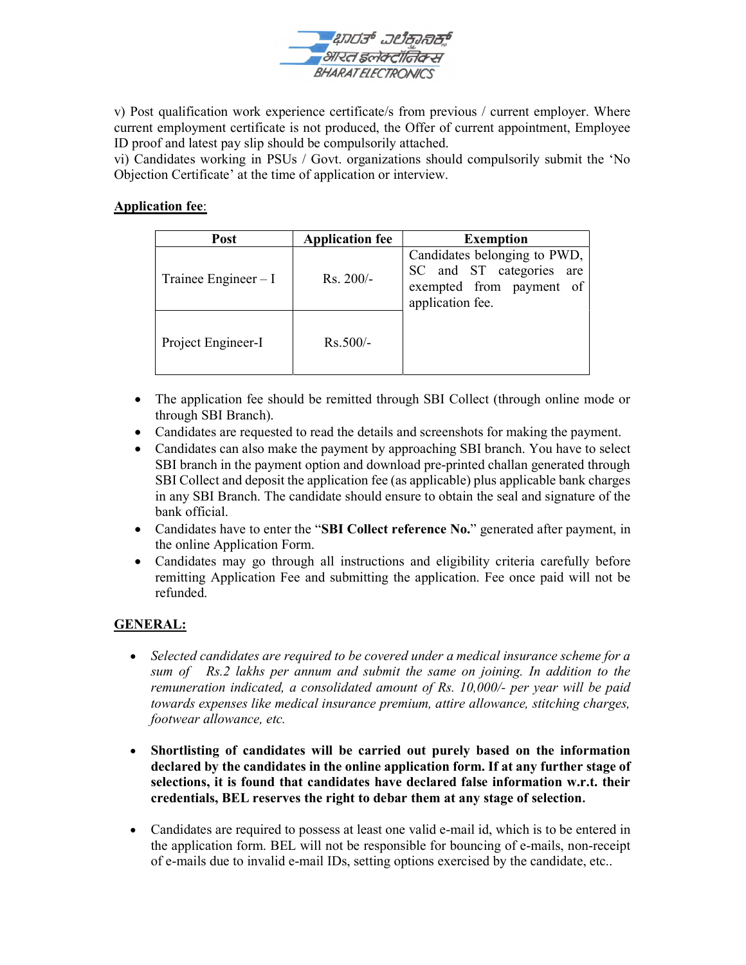

v) Post qualification work experience certificate/s from previous / current employer. Where current employment certificate is not produced, the Offer of current appointment, Employee ID proof and latest pay slip should be compulsorily attached.

vi) Candidates working in PSUs / Govt. organizations should compulsorily submit the 'No Objection Certificate' at the time of application or interview.

#### Application fee:

| <b>Post</b>           | <b>Application fee</b> | <b>Exemption</b>                                                                                         |  |
|-----------------------|------------------------|----------------------------------------------------------------------------------------------------------|--|
| Trainee Engineer $-I$ | $Rs. 200/-$            | Candidates belonging to PWD,<br>SC and ST categories are<br>exempted from payment of<br>application fee. |  |
| Project Engineer-I    | $Rs.500/-$             |                                                                                                          |  |

- The application fee should be remitted through SBI Collect (through online mode or through SBI Branch).
- Candidates are requested to read the details and screenshots for making the payment.
- Candidates can also make the payment by approaching SBI branch. You have to select SBI branch in the payment option and download pre-printed challan generated through SBI Collect and deposit the application fee (as applicable) plus applicable bank charges in any SBI Branch. The candidate should ensure to obtain the seal and signature of the bank official.
- Candidates have to enter the "SBI Collect reference No." generated after payment, in the online Application Form.
- Candidates may go through all instructions and eligibility criteria carefully before remitting Application Fee and submitting the application. Fee once paid will not be refunded.

# GENERAL:

- Selected candidates are required to be covered under a medical insurance scheme for a sum of Rs.2 lakhs per annum and submit the same on joining. In addition to the remuneration indicated, a consolidated amount of Rs. 10,000/- per year will be paid towards expenses like medical insurance premium, attire allowance, stitching charges, footwear allowance, etc.
- Shortlisting of candidates will be carried out purely based on the information declared by the candidates in the online application form. If at any further stage of selections, it is found that candidates have declared false information w.r.t. their credentials, BEL reserves the right to debar them at any stage of selection.
- Candidates are required to possess at least one valid e-mail id, which is to be entered in the application form. BEL will not be responsible for bouncing of e-mails, non-receipt of e-mails due to invalid e-mail IDs, setting options exercised by the candidate, etc..